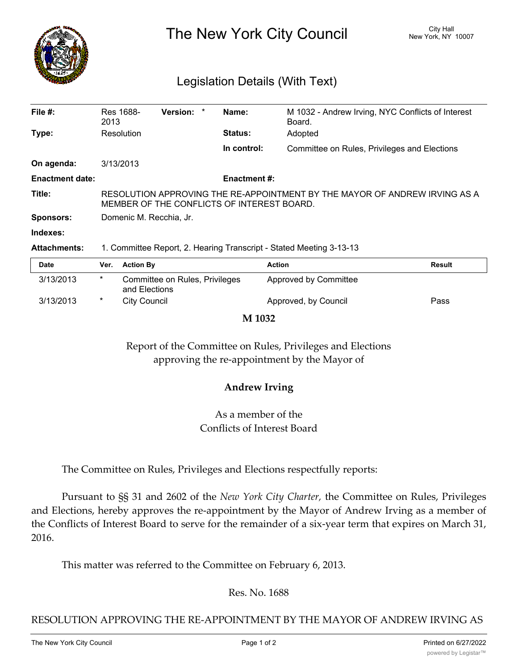

The New York City Council New York, NY 10007

# Legislation Details (With Text)

| File $#$ :             | Res 1688-<br>2013                                                                                                        | Version: * |  | Name:               | M 1032 - Andrew Irving, NYC Conflicts of Interest<br>Board. |  |  |
|------------------------|--------------------------------------------------------------------------------------------------------------------------|------------|--|---------------------|-------------------------------------------------------------|--|--|
| Type:                  | Resolution                                                                                                               |            |  | <b>Status:</b>      | Adopted                                                     |  |  |
|                        |                                                                                                                          |            |  | In control:         | Committee on Rules, Privileges and Elections                |  |  |
| On agenda:             | 3/13/2013                                                                                                                |            |  |                     |                                                             |  |  |
| <b>Enactment date:</b> |                                                                                                                          |            |  | <b>Enactment #:</b> |                                                             |  |  |
| Title:                 | RESOLUTION APPROVING THE RE-APPOINTMENT BY THE MAYOR OF ANDREW IRVING AS A<br>MEMBER OF THE CONFLICTS OF INTEREST BOARD. |            |  |                     |                                                             |  |  |
| <b>Sponsors:</b>       | Domenic M. Recchia, Jr.                                                                                                  |            |  |                     |                                                             |  |  |
| Indexes:               |                                                                                                                          |            |  |                     |                                                             |  |  |
| <b>Attachments:</b>    | 1. Committee Report, 2. Hearing Transcript - Stated Meeting 3-13-13                                                      |            |  |                     |                                                             |  |  |

| Date      | Ver.    | <b>Action By</b>                                | <b>Action</b>         | <b>Result</b> |
|-----------|---------|-------------------------------------------------|-----------------------|---------------|
| 3/13/2013 | *       | Committee on Rules, Privileges<br>and Elections | Approved by Committee |               |
| 3/13/2013 | $\star$ | City Council                                    | Approved, by Council  | Pass          |

**M 1032**

Report of the Committee on Rules, Privileges and Elections approving the re-appointment by the Mayor of

## **Andrew Irving**

As a member of the Conflicts of Interest Board

The Committee on Rules, Privileges and Elections respectfully reports:

Pursuant to §§ 31 and 2602 of the *New York City Charter,* the Committee on Rules, Privileges and Elections, hereby approves the re-appointment by the Mayor of Andrew Irving as a member of the Conflicts of Interest Board to serve for the remainder of a six-year term that expires on March 31, 2016.

This matter was referred to the Committee on February 6, 2013.

Res. No. 1688

RESOLUTION APPROVING THE RE-APPOINTMENT BY THE MAYOR OF ANDREW IRVING AS